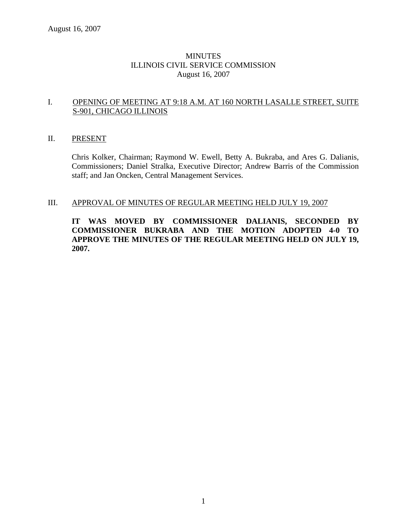## **MINUTES** ILLINOIS CIVIL SERVICE COMMISSION August 16, 2007

#### I. OPENING OF MEETING AT 9:18 A.M. AT 160 NORTH LASALLE STREET, SUITE S-901, CHICAGO ILLINOIS

#### II. PRESENT

Chris Kolker, Chairman; Raymond W. Ewell, Betty A. Bukraba, and Ares G. Dalianis, Commissioners; Daniel Stralka, Executive Director; Andrew Barris of the Commission staff; and Jan Oncken, Central Management Services.

#### III. APPROVAL OF MINUTES OF REGULAR MEETING HELD JULY 19, 2007

**IT WAS MOVED BY COMMISSIONER DALIANIS, SECONDED BY COMMISSIONER BUKRABA AND THE MOTION ADOPTED 4-0 TO APPROVE THE MINUTES OF THE REGULAR MEETING HELD ON JULY 19, 2007.**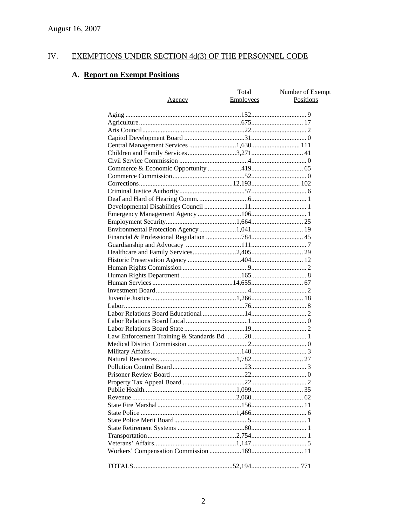#### IV. **EXEMPTIONS UNDER SECTION 4d(3) OF THE PERSONNEL CODE**

# A. Report on Exempt Positions

|                                       | Total     | Number of Exempt |
|---------------------------------------|-----------|------------------|
| <u>Agency</u>                         | Employees | Positions        |
|                                       |           |                  |
|                                       |           |                  |
|                                       |           |                  |
|                                       |           |                  |
|                                       |           |                  |
| Central Management Services 1,630 111 |           |                  |
|                                       |           |                  |
|                                       |           |                  |
|                                       |           |                  |
|                                       |           |                  |
|                                       |           |                  |
|                                       |           |                  |
|                                       |           |                  |
|                                       |           |                  |
|                                       |           |                  |
|                                       |           |                  |
|                                       |           |                  |
|                                       |           |                  |
|                                       |           |                  |
|                                       |           |                  |
|                                       |           |                  |
|                                       |           |                  |
|                                       |           |                  |
|                                       |           |                  |
|                                       |           |                  |
|                                       |           |                  |
|                                       |           |                  |
|                                       |           |                  |
|                                       |           |                  |
|                                       |           |                  |
|                                       |           |                  |
|                                       |           |                  |
|                                       |           |                  |
|                                       |           |                  |
|                                       |           |                  |
|                                       |           |                  |
|                                       |           |                  |
|                                       |           |                  |
|                                       |           |                  |
|                                       |           |                  |
|                                       |           |                  |
|                                       |           |                  |
|                                       |           |                  |
|                                       |           |                  |
|                                       |           |                  |
|                                       |           |                  |
|                                       |           |                  |
|                                       |           |                  |
|                                       |           |                  |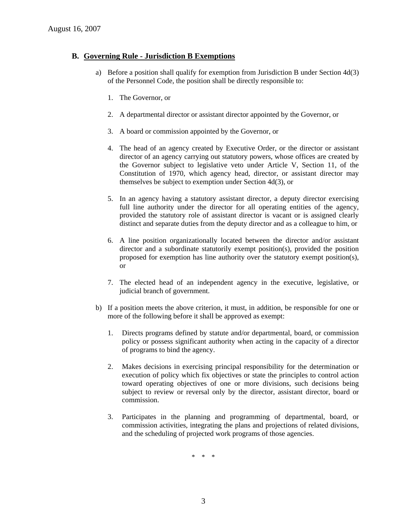### **B. Governing Rule - Jurisdiction B Exemptions**

- a) Before a position shall qualify for exemption from Jurisdiction B under Section 4d(3) of the Personnel Code, the position shall be directly responsible to:
	- 1. The Governor, or
	- 2. A departmental director or assistant director appointed by the Governor, or
	- 3. A board or commission appointed by the Governor, or
	- 4. The head of an agency created by Executive Order, or the director or assistant director of an agency carrying out statutory powers, whose offices are created by the Governor subject to legislative veto under Article V, Section 11, of the Constitution of 1970, which agency head, director, or assistant director may themselves be subject to exemption under Section 4d(3), or
	- 5. In an agency having a statutory assistant director, a deputy director exercising full line authority under the director for all operating entities of the agency, provided the statutory role of assistant director is vacant or is assigned clearly distinct and separate duties from the deputy director and as a colleague to him, or
	- 6. A line position organizationally located between the director and/or assistant director and a subordinate statutorily exempt position(s), provided the position proposed for exemption has line authority over the statutory exempt position(s), or
	- 7. The elected head of an independent agency in the executive, legislative, or judicial branch of government.
- b) If a position meets the above criterion, it must, in addition, be responsible for one or more of the following before it shall be approved as exempt:
	- 1. Directs programs defined by statute and/or departmental, board, or commission policy or possess significant authority when acting in the capacity of a director of programs to bind the agency.
	- 2. Makes decisions in exercising principal responsibility for the determination or execution of policy which fix objectives or state the principles to control action toward operating objectives of one or more divisions, such decisions being subject to review or reversal only by the director, assistant director, board or commission.
	- 3. Participates in the planning and programming of departmental, board, or commission activities, integrating the plans and projections of related divisions, and the scheduling of projected work programs of those agencies.

\* \* \*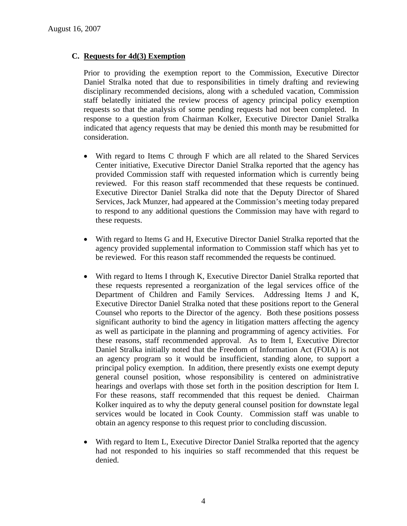## **C. Requests for 4d(3) Exemption**

Prior to providing the exemption report to the Commission, Executive Director Daniel Stralka noted that due to responsibilities in timely drafting and reviewing disciplinary recommended decisions, along with a scheduled vacation, Commission staff belatedly initiated the review process of agency principal policy exemption requests so that the analysis of some pending requests had not been completed. In response to a question from Chairman Kolker, Executive Director Daniel Stralka indicated that agency requests that may be denied this month may be resubmitted for consideration.

- With regard to Items C through F which are all related to the Shared Services Center initiative, Executive Director Daniel Stralka reported that the agency has provided Commission staff with requested information which is currently being reviewed. For this reason staff recommended that these requests be continued. Executive Director Daniel Stralka did note that the Deputy Director of Shared Services, Jack Munzer, had appeared at the Commission's meeting today prepared to respond to any additional questions the Commission may have with regard to these requests.
- With regard to Items G and H, Executive Director Daniel Stralka reported that the agency provided supplemental information to Commission staff which has yet to be reviewed. For this reason staff recommended the requests be continued.
- With regard to Items I through K, Executive Director Daniel Stralka reported that these requests represented a reorganization of the legal services office of the Department of Children and Family Services. Addressing Items J and K, Executive Director Daniel Stralka noted that these positions report to the General Counsel who reports to the Director of the agency. Both these positions possess significant authority to bind the agency in litigation matters affecting the agency as well as participate in the planning and programming of agency activities. For these reasons, staff recommended approval. As to Item I, Executive Director Daniel Stralka initially noted that the Freedom of Information Act (FOIA) is not an agency program so it would be insufficient, standing alone, to support a principal policy exemption. In addition, there presently exists one exempt deputy general counsel position, whose responsibility is centered on administrative hearings and overlaps with those set forth in the position description for Item I. For these reasons, staff recommended that this request be denied. Chairman Kolker inquired as to why the deputy general counsel position for downstate legal services would be located in Cook County. Commission staff was unable to obtain an agency response to this request prior to concluding discussion.
- With regard to Item L, Executive Director Daniel Stralka reported that the agency had not responded to his inquiries so staff recommended that this request be denied.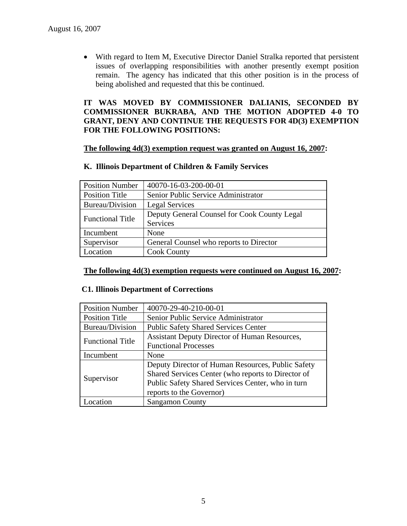• With regard to Item M, Executive Director Daniel Stralka reported that persistent issues of overlapping responsibilities with another presently exempt position remain. The agency has indicated that this other position is in the process of being abolished and requested that this be continued.

### **IT WAS MOVED BY COMMISSIONER DALIANIS, SECONDED BY COMMISSIONER BUKRABA, AND THE MOTION ADOPTED 4-0 TO GRANT, DENY AND CONTINUE THE REQUESTS FOR 4D(3) EXEMPTION FOR THE FOLLOWING POSITIONS:**

#### **The following 4d(3) exemption request was granted on August 16, 2007:**

#### **K. Illinois Department of Children & Family Services**

| <b>Position Number</b>  | 40070-16-03-200-00-01                        |
|-------------------------|----------------------------------------------|
| <b>Position Title</b>   | Senior Public Service Administrator          |
| Bureau/Division         | <b>Legal Services</b>                        |
| <b>Functional Title</b> | Deputy General Counsel for Cook County Legal |
|                         | Services                                     |
| Incumbent               | None                                         |
| Supervisor              | General Counsel who reports to Director      |
| Location                | <b>Cook County</b>                           |

#### **The following 4d(3) exemption requests were continued on August 16, 2007:**

#### **C1. Illinois Department of Corrections**

| <b>Position Number</b>  | 40070-29-40-210-00-01                              |
|-------------------------|----------------------------------------------------|
| <b>Position Title</b>   | Senior Public Service Administrator                |
| Bureau/Division         | <b>Public Safety Shared Services Center</b>        |
| <b>Functional Title</b> | Assistant Deputy Director of Human Resources,      |
|                         | <b>Functional Processes</b>                        |
| Incumbent               | None                                               |
| Supervisor              | Deputy Director of Human Resources, Public Safety  |
|                         | Shared Services Center (who reports to Director of |
|                         | Public Safety Shared Services Center, who in turn  |
|                         | reports to the Governor)                           |
| ocation                 | <b>Sangamon County</b>                             |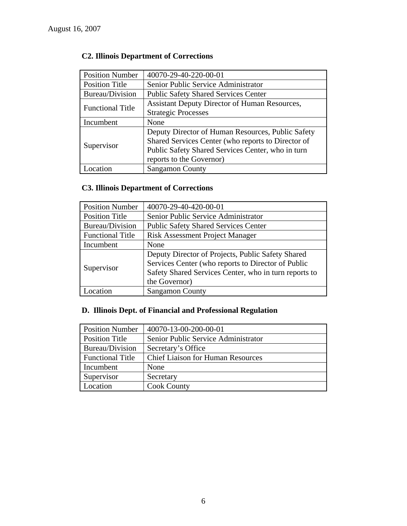# **C2. Illinois Department of Corrections**

| <b>Position Number</b>  | 40070-29-40-220-00-01                                |
|-------------------------|------------------------------------------------------|
| <b>Position Title</b>   | Senior Public Service Administrator                  |
| Bureau/Division         | <b>Public Safety Shared Services Center</b>          |
|                         | <b>Assistant Deputy Director of Human Resources,</b> |
| <b>Functional Title</b> | <b>Strategic Processes</b>                           |
| Incumbent               | None                                                 |
| Supervisor              | Deputy Director of Human Resources, Public Safety    |
|                         | Shared Services Center (who reports to Director of   |
|                         | Public Safety Shared Services Center, who in turn    |
|                         | reports to the Governor)                             |
| ocation                 | <b>Sangamon County</b>                               |

# **C3. Illinois Department of Corrections**

| <b>Position Number</b>  | 40070-29-40-420-00-01                                 |
|-------------------------|-------------------------------------------------------|
| <b>Position Title</b>   | Senior Public Service Administrator                   |
| Bureau/Division         | <b>Public Safety Shared Services Center</b>           |
| <b>Functional Title</b> | <b>Risk Assessment Project Manager</b>                |
| Incumbent               | None                                                  |
| Supervisor              | Deputy Director of Projects, Public Safety Shared     |
|                         | Services Center (who reports to Director of Public    |
|                         | Safety Shared Services Center, who in turn reports to |
|                         | the Governor)                                         |
| Location                | <b>Sangamon County</b>                                |

# **D. Illinois Dept. of Financial and Professional Regulation**

| <b>Position Number</b>  | 40070-13-00-200-00-01                    |
|-------------------------|------------------------------------------|
| <b>Position Title</b>   | Senior Public Service Administrator      |
| Bureau/Division         | Secretary's Office                       |
| <b>Functional Title</b> | <b>Chief Liaison for Human Resources</b> |
| Incumbent               | None                                     |
| Supervisor              | Secretary                                |
| Location                | <b>Cook County</b>                       |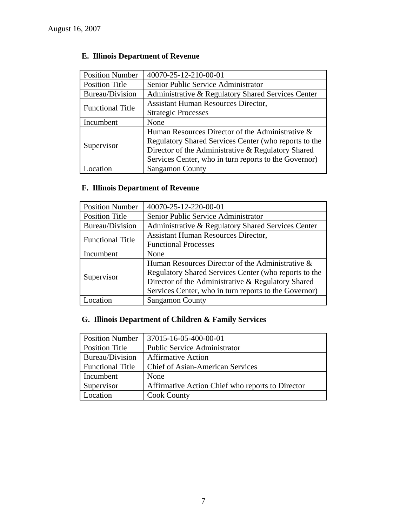| <b>Position Number</b>  | 40070-25-12-210-00-01                                 |
|-------------------------|-------------------------------------------------------|
| <b>Position Title</b>   | Senior Public Service Administrator                   |
| Bureau/Division         | Administrative & Regulatory Shared Services Center    |
| <b>Functional Title</b> | <b>Assistant Human Resources Director,</b>            |
|                         | <b>Strategic Processes</b>                            |
| Incumbent               | None                                                  |
| Supervisor              | Human Resources Director of the Administrative &      |
|                         | Regulatory Shared Services Center (who reports to the |
|                         | Director of the Administrative & Regulatory Shared    |
|                         | Services Center, who in turn reports to the Governor) |
| ocation                 | <b>Sangamon County</b>                                |

# **E. Illinois Department of Revenue**

# **F. Illinois Department of Revenue**

| <b>Position Number</b>  | 40070-25-12-220-00-01                                 |
|-------------------------|-------------------------------------------------------|
| <b>Position Title</b>   | Senior Public Service Administrator                   |
| Bureau/Division         | Administrative & Regulatory Shared Services Center    |
| <b>Functional Title</b> | <b>Assistant Human Resources Director,</b>            |
|                         | <b>Functional Processes</b>                           |
| Incumbent               | None                                                  |
| Supervisor              | Human Resources Director of the Administrative &      |
|                         | Regulatory Shared Services Center (who reports to the |
|                         | Director of the Administrative & Regulatory Shared    |
|                         | Services Center, who in turn reports to the Governor) |
| ocation                 | <b>Sangamon County</b>                                |

# **G. Illinois Department of Children & Family Services**

| <b>Position Number</b>  | 37015-16-05-400-00-01                            |
|-------------------------|--------------------------------------------------|
| <b>Position Title</b>   | <b>Public Service Administrator</b>              |
| Bureau/Division         | <b>Affirmative Action</b>                        |
| <b>Functional Title</b> | <b>Chief of Asian-American Services</b>          |
| Incumbent               | None                                             |
| Supervisor              | Affirmative Action Chief who reports to Director |
| Location                | <b>Cook County</b>                               |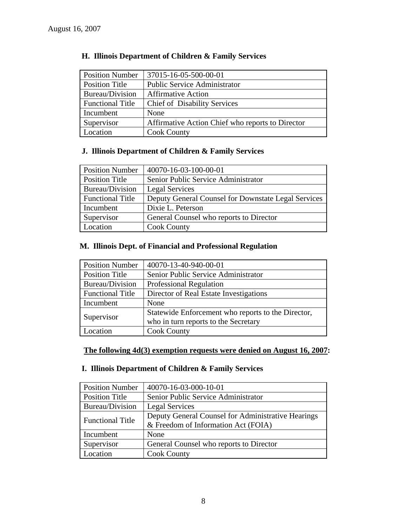| <b>Position Number</b>  | 37015-16-05-500-00-01                            |
|-------------------------|--------------------------------------------------|
| Position Title          | <b>Public Service Administrator</b>              |
| Bureau/Division         | <b>Affirmative Action</b>                        |
| <b>Functional Title</b> | <b>Chief of Disability Services</b>              |
| Incumbent               | None                                             |
| Supervisor              | Affirmative Action Chief who reports to Director |
| Location                | <b>Cook County</b>                               |

# **H. Illinois Department of Children & Family Services**

# **J. Illinois Department of Children & Family Services**

| <b>Position Number</b>  | 40070-16-03-100-00-01                               |
|-------------------------|-----------------------------------------------------|
| <b>Position Title</b>   | Senior Public Service Administrator                 |
| Bureau/Division         | <b>Legal Services</b>                               |
| <b>Functional Title</b> | Deputy General Counsel for Downstate Legal Services |
| Incumbent               | Dixie L. Peterson                                   |
| Supervisor              | General Counsel who reports to Director             |
| Location                | <b>Cook County</b>                                  |

# **M. Illinois Dept. of Financial and Professional Regulation**

| <b>Position Number</b>  | 40070-13-40-940-00-01                                                                      |
|-------------------------|--------------------------------------------------------------------------------------------|
| <b>Position Title</b>   | Senior Public Service Administrator                                                        |
| Bureau/Division         | <b>Professional Regulation</b>                                                             |
| <b>Functional Title</b> | Director of Real Estate Investigations                                                     |
| Incumbent               | None                                                                                       |
| Supervisor              | Statewide Enforcement who reports to the Director,<br>who in turn reports to the Secretary |
| Location                | <b>Cook County</b>                                                                         |

# **The following 4d(3) exemption requests were denied on August 16, 2007:**

# **I. Illinois Department of Children & Family Services**

| <b>Position Number</b>  | 40070-16-03-000-10-01                              |
|-------------------------|----------------------------------------------------|
| Position Title          | Senior Public Service Administrator                |
| Bureau/Division         | <b>Legal Services</b>                              |
| <b>Functional Title</b> | Deputy General Counsel for Administrative Hearings |
|                         | & Freedom of Information Act (FOIA)                |
| Incumbent               | None                                               |
| Supervisor              | General Counsel who reports to Director            |
| Location                | <b>Cook County</b>                                 |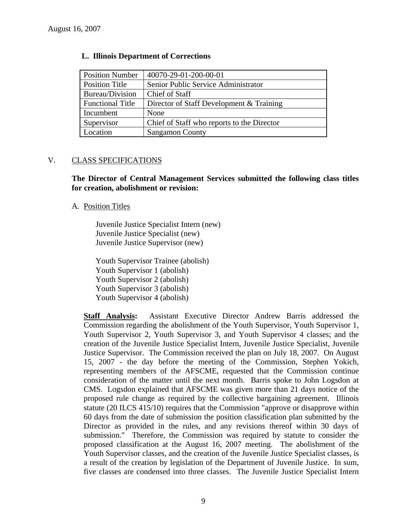| <b>Position Number</b>  | 40070-29-01-200-00-01                      |
|-------------------------|--------------------------------------------|
| <b>Position Title</b>   | Senior Public Service Administrator        |
| Bureau/Division         | <b>Chief of Staff</b>                      |
| <b>Functional Title</b> | Director of Staff Development & Training   |
| Incumbent               | None                                       |
| Supervisor              | Chief of Staff who reports to the Director |
| Location                | <b>Sangamon County</b>                     |

#### **L. Illinois Department of Corrections**

### V. CLASS SPECIFICATIONS

**The Director of Central Management Services submitted the following class titles for creation, abolishment or revision:** 

#### A. Position Titles

Juvenile Justice Specialist Intern (new) Juvenile Justice Specialist (new) Juvenile Justice Supervisor (new)

Youth Supervisor Trainee (abolish) Youth Supervisor 1 (abolish) Youth Supervisor 2 (abolish) Youth Supervisor 3 (abolish) Youth Supervisor 4 (abolish)

**Staff Analysis:** Assistant Executive Director Andrew Barris addressed the Commission regarding the abolishment of the Youth Supervisor, Youth Supervisor 1, Youth Supervisor 2, Youth Supervisor 3, and Youth Supervisor 4 classes; and the creation of the Juvenile Justice Specialist Intern, Juvenile Justice Specialist, Juvenile Justice Supervisor. The Commission received the plan on July 18, 2007. On August 15, 2007 - the day before the meeting of the Commission, Stephen Yokich, representing members of the AFSCME, requested that the Commission continue consideration of the matter until the next month. Barris spoke to John Logsdon at CMS. Logsdon explained that AFSCME was given more than 21 days notice of the proposed rule change as required by the collective bargaining agreement. Illinois statute (20 ILCS 415/10) requires that the Commission "approve or disapprove within 60 days from the date of submission the position classification plan submitted by the Director as provided in the rules, and any revisions thereof within 30 days of submission." Therefore, the Commission was required by statute to consider the proposed classification at the August 16, 2007 meeting. The abolishment of the Youth Supervisor classes, and the creation of the Juvenile Justice Specialist classes, is a result of the creation by legislation of the Department of Juvenile Justice. In sum, five classes are condensed into three classes. The Juvenile Justice Specialist Intern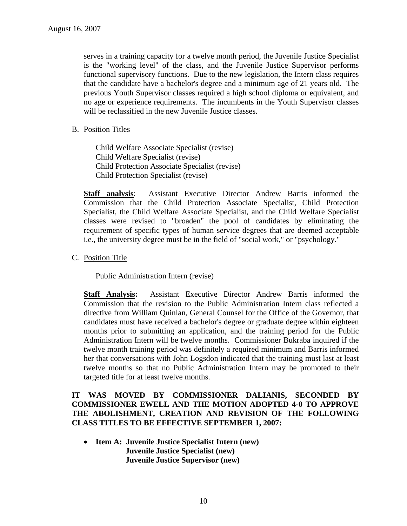serves in a training capacity for a twelve month period, the Juvenile Justice Specialist is the "working level" of the class, and the Juvenile Justice Supervisor performs functional supervisory functions. Due to the new legislation, the Intern class requires that the candidate have a bachelor's degree and a minimum age of 21 years old. The previous Youth Supervisor classes required a high school diploma or equivalent, and no age or experience requirements. The incumbents in the Youth Supervisor classes will be reclassified in the new Juvenile Justice classes.

#### B. Position Titles

Child Welfare Associate Specialist (revise) Child Welfare Specialist (revise) Child Protection Associate Specialist (revise) Child Protection Specialist (revise)

**Staff analysis**: Assistant Executive Director Andrew Barris informed the Commission that the Child Protection Associate Specialist, Child Protection Specialist, the Child Welfare Associate Specialist, and the Child Welfare Specialist classes were revised to "broaden" the pool of candidates by eliminating the requirement of specific types of human service degrees that are deemed acceptable i.e., the university degree must be in the field of "social work," or "psychology."

C. Position Title

Public Administration Intern (revise)

**Staff Analysis:** Assistant Executive Director Andrew Barris informed the Commission that the revision to the Public Administration Intern class reflected a directive from William Quinlan, General Counsel for the Office of the Governor, that candidates must have received a bachelor's degree or graduate degree within eighteen months prior to submitting an application, and the training period for the Public Administration Intern will be twelve months. Commissioner Bukraba inquired if the twelve month training period was definitely a required minimum and Barris informed her that conversations with John Logsdon indicated that the training must last at least twelve months so that no Public Administration Intern may be promoted to their targeted title for at least twelve months.

### **IT WAS MOVED BY COMMISSIONER DALIANIS, SECONDED BY COMMISSIONER EWELL AND THE MOTION ADOPTED 4-0 TO APPROVE THE ABOLISHMENT, CREATION AND REVISION OF THE FOLLOWING CLASS TITLES TO BE EFFECTIVE SEPTEMBER 1, 2007:**

• **Item A: Juvenile Justice Specialist Intern (new) Juvenile Justice Specialist (new) Juvenile Justice Supervisor (new)**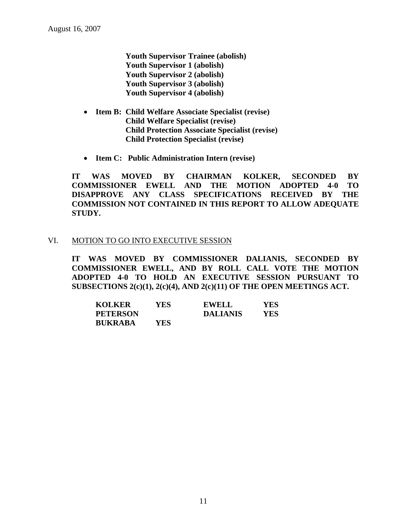**Youth Supervisor Trainee (abolish) Youth Supervisor 1 (abolish) Youth Supervisor 2 (abolish) Youth Supervisor 3 (abolish) Youth Supervisor 4 (abolish)** 

- **Item B: Child Welfare Associate Specialist (revise) Child Welfare Specialist (revise) Child Protection Associate Specialist (revise) Child Protection Specialist (revise)**
- **Item C: Public Administration Intern (revise)**

**IT WAS MOVED BY CHAIRMAN KOLKER, SECONDED BY COMMISSIONER EWELL AND THE MOTION ADOPTED 4-0 TO DISAPPROVE ANY CLASS SPECIFICATIONS RECEIVED BY THE COMMISSION NOT CONTAINED IN THIS REPORT TO ALLOW ADEQUATE STUDY.** 

#### VI. MOTION TO GO INTO EXECUTIVE SESSION

**IT WAS MOVED BY COMMISSIONER DALIANIS, SECONDED BY COMMISSIONER EWELL, AND BY ROLL CALL VOTE THE MOTION ADOPTED 4-0 TO HOLD AN EXECUTIVE SESSION PURSUANT TO SUBSECTIONS 2(c)(1), 2(c)(4), AND 2(c)(11) OF THE OPEN MEETINGS ACT.** 

| <b>KOLKER</b>   | YES | <b>EWELL</b>    | YES |
|-----------------|-----|-----------------|-----|
| <b>PETERSON</b> |     | <b>DALIANIS</b> | YES |
| <b>BUKRABA</b>  | YES |                 |     |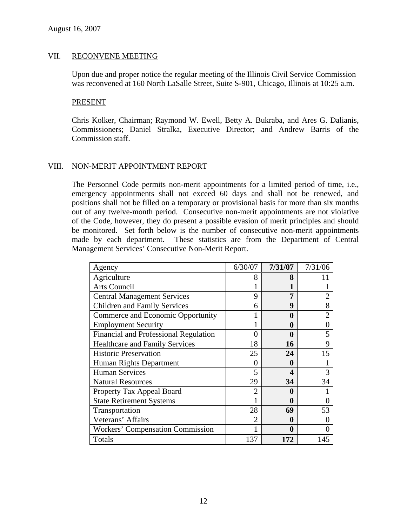#### VII. RECONVENE MEETING

Upon due and proper notice the regular meeting of the Illinois Civil Service Commission was reconvened at 160 North LaSalle Street, Suite S-901, Chicago, Illinois at 10:25 a.m.

#### PRESENT

Chris Kolker, Chairman; Raymond W. Ewell, Betty A. Bukraba, and Ares G. Dalianis, Commissioners; Daniel Stralka, Executive Director; and Andrew Barris of the Commission staff.

### VIII. NON-MERIT APPOINTMENT REPORT

The Personnel Code permits non-merit appointments for a limited period of time, i.e., emergency appointments shall not exceed 60 days and shall not be renewed, and positions shall not be filled on a temporary or provisional basis for more than six months out of any twelve-month period. Consecutive non-merit appointments are not violative of the Code, however, they do present a possible evasion of merit principles and should be monitored. Set forth below is the number of consecutive non-merit appointments made by each department. These statistics are from the Department of Central Management Services' Consecutive Non-Merit Report.

| Agency                                  | 6/30/07        | 7/31/07 | 7/31/06        |
|-----------------------------------------|----------------|---------|----------------|
| Agriculture                             | 8              | 8       | 11             |
| <b>Arts Council</b>                     |                |         |                |
| <b>Central Management Services</b>      | 9              | 7       | $\overline{2}$ |
| <b>Children and Family Services</b>     | 6              | 9       | 8              |
| Commerce and Economic Opportunity       |                | 0       | $\overline{2}$ |
| <b>Employment Security</b>              |                | 0       | $\theta$       |
| Financial and Professional Regulation   | 0              | 0       | 5              |
| <b>Healthcare and Family Services</b>   | 18             | 16      | 9              |
| <b>Historic Preservation</b>            | 25             | 24      | 15             |
| Human Rights Department                 | $\theta$       | 0       |                |
| <b>Human Services</b>                   | 5              | 4       | 3              |
| <b>Natural Resources</b>                | 29             | 34      | 34             |
| Property Tax Appeal Board               | $\overline{2}$ | 0       |                |
| <b>State Retirement Systems</b>         |                | 0       | 0              |
| Transportation                          | 28             | 69      | 53             |
| Veterans' Affairs                       | 2              | 0       |                |
| <b>Workers' Compensation Commission</b> |                | 0       |                |
| Totals                                  | 137            | 172     | 145            |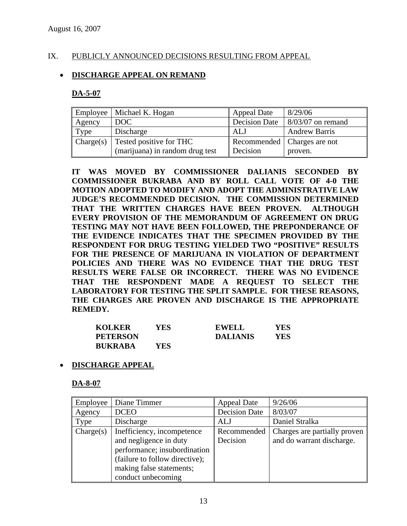## IX. PUBLICLY ANNOUNCED DECISIONS RESULTING FROM APPEAL

### • **DISCHARGE APPEAL ON REMAND**

#### **DA-5-07**

| Employee  | Michael K. Hogan                | <b>Appeal Date</b>   | 8/29/06                          |
|-----------|---------------------------------|----------------------|----------------------------------|
| Agency    | DOC                             | <b>Decision Date</b> | $\frac{8}{03}$ 8/03/07 on remand |
| Type      | Discharge                       | ALJ                  | <b>Andrew Barris</b>             |
| Change(s) | Tested positive for THC         |                      | Recommended   Charges are not    |
|           | (marijuana) in random drug test | Decision             | proven.                          |

**IT WAS MOVED BY COMMISSIONER DALIANIS SECONDED BY COMMISSIONER BUKRABA AND BY ROLL CALL VOTE OF 4-0 THE MOTION ADOPTED TO MODIFY AND ADOPT THE ADMINISTRATIVE LAW JUDGE'S RECOMMENDED DECISION. THE COMMISSION DETERMINED THAT THE WRITTEN CHARGES HAVE BEEN PROVEN. ALTHOUGH EVERY PROVISION OF THE MEMORANDUM OF AGREEMENT ON DRUG TESTING MAY NOT HAVE BEEN FOLLOWED, THE PREPONDERANCE OF THE EVIDENCE INDICATES THAT THE SPECIMEN PROVIDED BY THE RESPONDENT FOR DRUG TESTING YIELDED TWO "POSITIVE" RESULTS FOR THE PRESENCE OF MARIJUANA IN VIOLATION OF DEPARTMENT POLICIES AND THERE WAS NO EVIDENCE THAT THE DRUG TEST RESULTS WERE FALSE OR INCORRECT. THERE WAS NO EVIDENCE THAT THE RESPONDENT MADE A REQUEST TO SELECT THE LABORATORY FOR TESTING THE SPLIT SAMPLE. FOR THESE REASONS, THE CHARGES ARE PROVEN AND DISCHARGE IS THE APPROPRIATE REMEDY.** 

| <b>KOLKER</b>   | YES. | EWELL           | YES |
|-----------------|------|-----------------|-----|
| <b>PETERSON</b> |      | <b>DALIANIS</b> | YES |
| <b>BUKRABA</b>  | YES  |                 |     |

#### • **DISCHARGE APPEAL**

#### **DA-8-07**

| Employee  | Diane Timmer                                                                                                                                                             | <b>Appeal Date</b>      | 9/26/06                                                   |
|-----------|--------------------------------------------------------------------------------------------------------------------------------------------------------------------------|-------------------------|-----------------------------------------------------------|
| Agency    | <b>DCEO</b>                                                                                                                                                              | <b>Decision Date</b>    | 8/03/07                                                   |
| Type      | Discharge                                                                                                                                                                | ALJ                     | Daniel Stralka                                            |
| Change(s) | Inefficiency, incompetence<br>and negligence in duty<br>performance; insubordination<br>(failure to follow directive);<br>making false statements;<br>conduct unbecoming | Recommended<br>Decision | Charges are partially proven<br>and do warrant discharge. |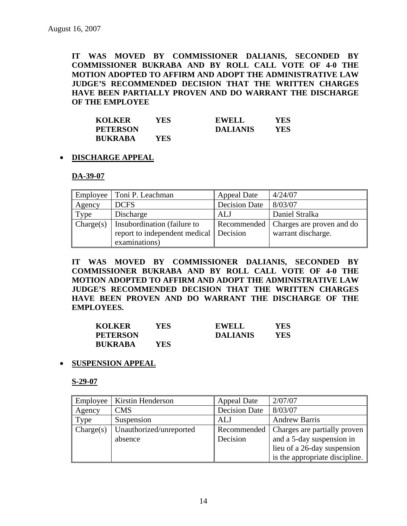**IT WAS MOVED BY COMMISSIONER DALIANIS, SECONDED BY COMMISSIONER BUKRABA AND BY ROLL CALL VOTE OF 4-0 THE MOTION ADOPTED TO AFFIRM AND ADOPT THE ADMINISTRATIVE LAW JUDGE'S RECOMMENDED DECISION THAT THE WRITTEN CHARGES HAVE BEEN PARTIALLY PROVEN AND DO WARRANT THE DISCHARGE OF THE EMPLOYEE** 

| <b>KOLKER</b>   | YES | <b>EWELL</b>    | YES  |
|-----------------|-----|-----------------|------|
| <b>PETERSON</b> |     | <b>DALIANIS</b> | YES. |
| <b>BUKRABA</b>  | YES |                 |      |

### • **DISCHARGE APPEAL**

#### **DA-39-07**

|           | Employee   Toni P. Leachman            | <b>Appeal Date</b>   | 4/24/07                   |
|-----------|----------------------------------------|----------------------|---------------------------|
| Agency    | <b>DCFS</b>                            | <b>Decision Date</b> | 8/03/07                   |
| Type      | Discharge                              | ALJ                  | Daniel Stralka            |
| Change(s) | Insubordination (failure to            | Recommended          | Charges are proven and do |
|           | report to independent medical Decision |                      | warrant discharge.        |
|           | examinations)                          |                      |                           |

**IT WAS MOVED BY COMMISSIONER DALIANIS, SECONDED BY COMMISSIONER BUKRABA AND BY ROLL CALL VOTE OF 4-0 THE MOTION ADOPTED TO AFFIRM AND ADOPT THE ADMINISTRATIVE LAW JUDGE'S RECOMMENDED DECISION THAT THE WRITTEN CHARGES HAVE BEEN PROVEN AND DO WARRANT THE DISCHARGE OF THE EMPLOYEES.** 

| <b>KOLKER</b>   | YES | EWELL           | YES |
|-----------------|-----|-----------------|-----|
| <b>PETERSON</b> |     | <b>DALIANIS</b> | YES |
| <b>BUKRABA</b>  | YES |                 |     |

#### • **SUSPENSION APPEAL**

**S-29-07**

| Employee  | Kirstin Henderson       | <b>Appeal Date</b>   | 2/07/07                        |
|-----------|-------------------------|----------------------|--------------------------------|
| Agency    | <b>CMS</b>              | <b>Decision Date</b> | 8/03/07                        |
| Type      | Suspension              | ALJ                  | <b>Andrew Barris</b>           |
| Change(s) | Unauthorized/unreported | Recommended          | Charges are partially proven   |
|           | absence                 | Decision             | and a 5-day suspension in      |
|           |                         |                      | lieu of a 26-day suspension    |
|           |                         |                      | is the appropriate discipline. |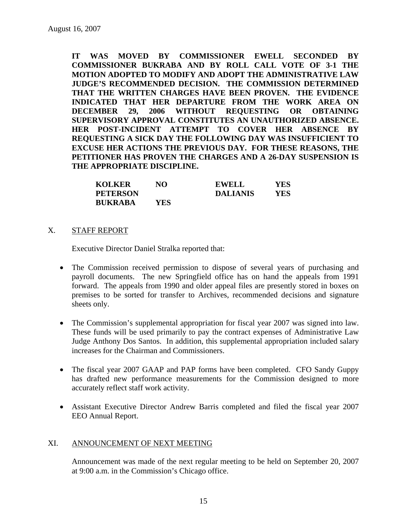**IT WAS MOVED BY COMMISSIONER EWELL SECONDED BY COMMISSIONER BUKRABA AND BY ROLL CALL VOTE OF 3-1 THE MOTION ADOPTED TO MODIFY AND ADOPT THE ADMINISTRATIVE LAW JUDGE'S RECOMMENDED DECISION. THE COMMISSION DETERMINED THAT THE WRITTEN CHARGES HAVE BEEN PROVEN. THE EVIDENCE INDICATED THAT HER DEPARTURE FROM THE WORK AREA ON DECEMBER 29, 2006 WITHOUT REQUESTING OR OBTAINING SUPERVISORY APPROVAL CONSTITUTES AN UNAUTHORIZED ABSENCE. HER POST-INCIDENT ATTEMPT TO COVER HER ABSENCE BY REQUESTING A SICK DAY THE FOLLOWING DAY WAS INSUFFICIENT TO EXCUSE HER ACTIONS THE PREVIOUS DAY. FOR THESE REASONS, THE PETITIONER HAS PROVEN THE CHARGES AND A 26-DAY SUSPENSION IS THE APPROPRIATE DISCIPLINE.** 

| <b>KOLKER</b>   | NO  | <b>EWELL</b>    | YES |
|-----------------|-----|-----------------|-----|
| <b>PETERSON</b> |     | <b>DALIANIS</b> | YES |
| <b>BUKRABA</b>  | YES |                 |     |

#### X. STAFF REPORT

Executive Director Daniel Stralka reported that:

- The Commission received permission to dispose of several years of purchasing and payroll documents. The new Springfield office has on hand the appeals from 1991 forward. The appeals from 1990 and older appeal files are presently stored in boxes on premises to be sorted for transfer to Archives, recommended decisions and signature sheets only.
- The Commission's supplemental appropriation for fiscal year 2007 was signed into law. These funds will be used primarily to pay the contract expenses of Administrative Law Judge Anthony Dos Santos. In addition, this supplemental appropriation included salary increases for the Chairman and Commissioners.
- The fiscal year 2007 GAAP and PAP forms have been completed. CFO Sandy Guppy has drafted new performance measurements for the Commission designed to more accurately reflect staff work activity.
- Assistant Executive Director Andrew Barris completed and filed the fiscal year 2007 EEO Annual Report.

#### XI. ANNOUNCEMENT OF NEXT MEETING

Announcement was made of the next regular meeting to be held on September 20, 2007 at 9:00 a.m. in the Commission's Chicago office.